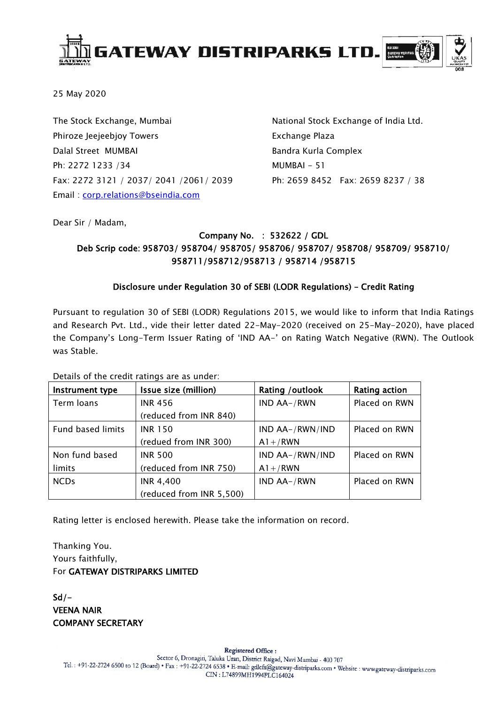

25 May 2020

The Stock Exchange, Mumbai Phiroze Jeejeebjoy Towers Dalal Street MUMBAI Ph: 2272 1233 /34 Fax: 2272 3121 / 2037/ 2041 /2061/ 2039 Email : [corp.relations@bseindia.com](mailto:corp.relations@bseindia.com)

National Stock Exchange of India Ltd. Exchange Plaza Bandra Kurla Complex MUMBAI - 51 Ph: 2659 8452 Fax: 2659 8237 / 38

Dear Sir / Madam,

### Company No. : 532622 / GDL Deb Scrip code: 958703/ 958704/ 958705/ 958706/ 958707/ 958708/ 958709/ 958710/ 958711/958712/958713 / 958714 /958715

### Disclosure under Regulation 30 of SEBI (LODR Regulations) – Credit Rating

Pursuant to regulation 30 of SEBI (LODR) Regulations 2015, we would like to inform that India Ratings and Research Pvt. Ltd., vide their letter dated 22-May-2020 (received on 25-May-2020), have placed the Company's Long-Term Issuer Rating of 'IND AA-' on Rating Watch Negative (RWN). The Outlook was Stable.

Details of the credit ratings are as under:

| Instrument type   | Issue size (million)     | Rating / outlook | Rating action |
|-------------------|--------------------------|------------------|---------------|
| Term loans        | <b>INR 456</b>           | IND AA-/RWN      | Placed on RWN |
|                   | (reduced from INR 840)   |                  |               |
| Fund based limits | <b>INR 150</b>           | IND AA-/RWN/IND  | Placed on RWN |
|                   | (redued from INR 300)    | $A1+$ /RWN       |               |
| Non fund based    | <b>INR 500</b>           | IND AA-/RWN/IND  | Placed on RWN |
| limits            | (reduced from INR 750)   | $A1+$ /RWN       |               |
| <b>NCDs</b>       | <b>INR 4,400</b>         | IND AA-/RWN      | Placed on RWN |
|                   | (reduced from INR 5,500) |                  |               |

Rating letter is enclosed herewith. Please take the information on record.

Thanking You. Yours faithfully, For GATEWAY DISTRIPARKS LIMITED

 $Sd/-$ VEENA NAIR COMPANY SECRETARY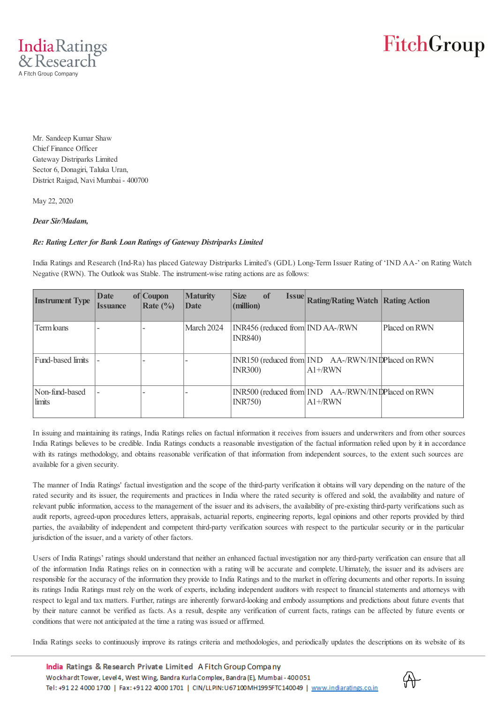

Mr. Sandeep Kumar Shaw Chief Finance Officer Gateway Distriparks Limited Sector 6, Donagiri, Taluka Uran, District Raigad, Navi Mumbai - 400700

May 22, 2020

### *Dear Sir/Madam,*

### *Re: Rating Letter for Bank Loan Ratings of Gateway Distriparks Limited*

India Ratings and Research (Ind-Ra) has placed Gateway Distriparks Limited's (GDL) Long-Term Issuer Rating of 'IND AA-' on Rating Watch Negative (RWN). The Outlook was Stable. The instrument-wise rating actions are as follows:

| <b>Instrument Type</b>   | Date<br><i><b>Issuance</b></i> | of Coupon<br>Rate $(\% )$ | <b>Maturity</b><br>Date | <b>Size</b><br>of<br>(million)                      | <b>Issue Rating/Rating Watch Rating Action</b>                   |               |
|--------------------------|--------------------------------|---------------------------|-------------------------|-----------------------------------------------------|------------------------------------------------------------------|---------------|
| Term loans               |                                |                           | March 2024              | INR456 (reduced from IND AA-/RWN<br><b>INR840</b> ) |                                                                  | Placed on RWN |
| Fund-based limits        |                                |                           |                         | <b>INR300</b> )                                     | INR150 (reduced from IND AA-/RWN/INIP laced on RWN<br>$A1 + RWN$ |               |
| Non-fund-based<br>limits |                                |                           |                         | <b>INR750</b> )                                     | INR500 (reduced from IND AA-/RWN/INIP laced on RWN<br>$A1 + RWN$ |               |

In issuing and maintaining its ratings, India Ratings relies on factual information it receives from issuers and underwriters and from other sources India Ratings believes to be credible. India Ratings conducts a reasonable investigation of the factual information relied upon by it in accordance with its ratings methodology, and obtains reasonable verification of that information from independent sources, to the extent such sources are available for a given security.

The manner of India Ratings' factual investigation and the scope of the third-party verification it obtains will vary depending on the nature of the rated security and its issuer, the requirements and practices in India where the rated security is offered and sold, the availability and nature of relevant public information, access to the management of the issuer and its advisers, the availability of pre-existing third-party verifications such as audit reports, agreed-upon procedures letters, appraisals, actuarial reports, engineering reports, legal opinions and other reports provided by third parties, the availability of independent and competent third-party verification sources with respect to the particular security or in the particular jurisdiction of the issuer, and a variety of other factors.

Users of India Ratings' ratings should understand that neither an enhanced factual investigation nor any third-party verification can ensure that all of the information India Ratings relies on in connection with a rating will be accurate and complete. Ultimately, the issuer and its advisers are responsible for the accuracy of the information they provide to India Ratings and to the market in offering documents and other reports. In issuing its ratings India Ratings must rely on the work of experts, including independent auditors with respect to financial statements and attorneys with respect to legal and tax matters. Further, ratings are inherently forward-looking and embody assumptions and predictions about future events that by their nature cannot be verified as facts. As a result, despite any verification of current facts, ratings can be affected by future events or conditions that were not anticipated at the time a rating was issued or affirmed.

India Ratings seeks to continuously improve its ratings criteria and methodologies, and periodically updates the descriptions on its website of its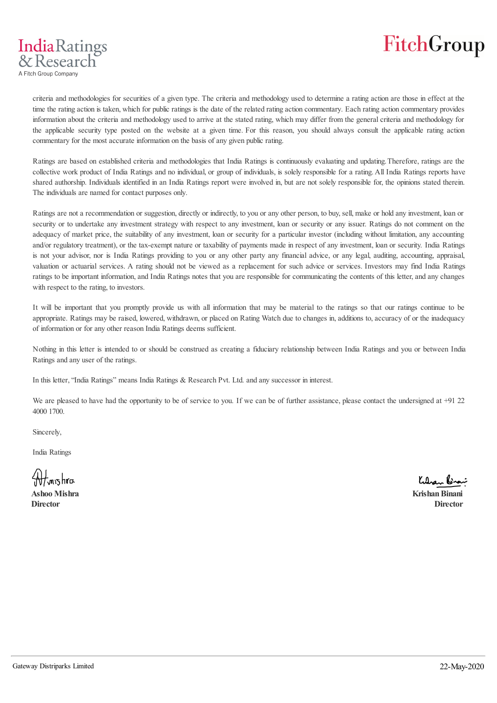IndiaRatings & Research A Fitch Group Company

> criteria and methodologies for securities of a given type. The criteria and methodology used to determine a rating action are those in effect at the time the rating action is taken, which for public ratings is the date of the related rating action commentary. Each rating action commentary provides information about the criteria and methodology used to arrive at the stated rating, which may differ from the general criteria and methodology for the applicable security type posted on the website at a given time. For this reason, you should always consult the applicable rating action commentary for the most accurate information on the basis of any given public rating.

> Ratings are based on established criteria and methodologies that India Ratings is continuously evaluating and updating. Therefore, ratings are the collective work product of India Ratings and no individual, or group of individuals, is solely responsible for a rating. All India Ratings reports have shared authorship. Individuals identified in an India Ratings report were involved in, but are not solely responsible for, the opinions stated therein. The individuals are named for contact purposes only.

> Ratings are not a recommendation or suggestion, directly or indirectly, to you or any other person, to buy, sell, make or hold any investment, loan or security or to undertake any investment strategy with respect to any investment, loan or security or any issuer. Ratings do not comment on the adequacy of market price, the suitability of any investment, loan or security for a particular investor (including without limitation, any accounting and/or regulatory treatment), or the tax-exempt nature or taxability of payments made in respect of any investment, loan or security. India Ratings is not your advisor, nor is India Ratings providing to you or any other party any financial advice, or any legal, auditing, accounting, appraisal, valuation or actuarial services. A rating should not be viewed as a replacement for such advice or services. Investors may find India Ratings ratings to be important information, and India Ratings notes that you are responsible for communicating the contents of this letter, and any changes with respect to the rating, to investors.

> It will be important that you promptly provide us with all information that may be material to the ratings so that our ratings continue to be appropriate. Ratings may be raised, lowered, withdrawn, or placed on Rating Watch due to changes in, additions to, accuracy of or the inadequacy of information or for any other reason India Ratings deems sufficient.

> Nothing in this letter is intended to or should be construed as creating a fiduciary relationship between India Ratings and you or between India Ratings and any user of the ratings.

In this letter, "India Ratings" means India Ratings & Research Pvt. Ltd. and any successor in interest.

We are pleased to have had the opportunity to be of service to you. If we can be of further assistance, please contact the undersigned at +91 22 4000 1700.

Sincerely,

India Ratings

<del>M</del> mishra

Kulan Brai

**Ashoo Mishra Krishan Binani Director Director**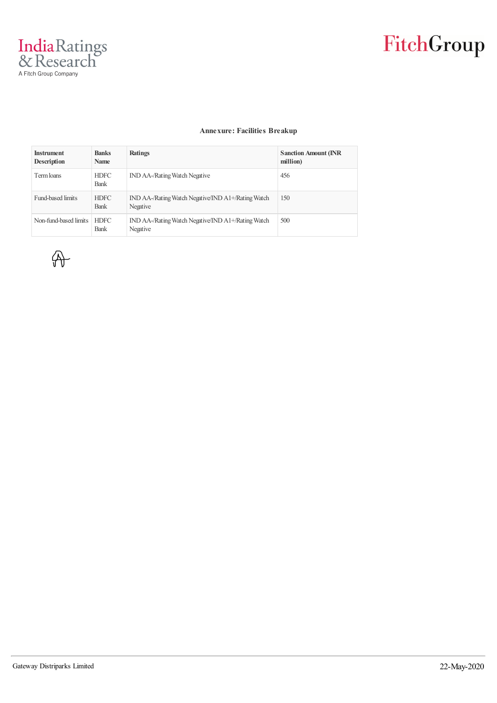

#### **Annexure: Facilities Breakup**

| <b>Instrument</b><br><b>Description</b> | <b>Banks</b><br><b>Name</b> | Ratings                                                        | <b>Sanction Amount (INR)</b><br>million) |
|-----------------------------------------|-----------------------------|----------------------------------------------------------------|------------------------------------------|
| Term loans                              | <b>HDFC</b><br><b>Bank</b>  | <b>IND AA-/Rating Watch Negative</b>                           | 456                                      |
| <b>Fund-based limits</b>                | <b>HDFC</b><br><b>Bank</b>  | IND AA-/Rating Watch Negative/IND A1+/Rating Watch<br>Negative | 150                                      |
| Non-fund-based limits                   | <b>HDFC</b><br><b>Bank</b>  | IND AA-/Rating Watch Negative/IND A1+/Rating Watch<br>Negative | 500                                      |

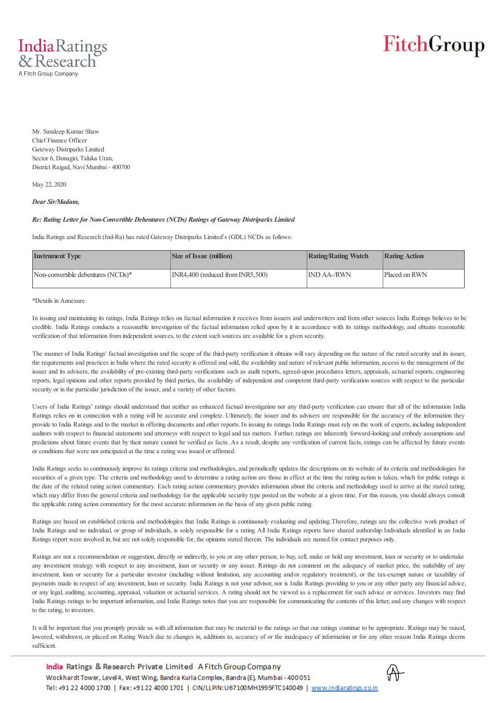

Mr. Sandeep Kumar Shaw Chief Finance Officer Gateway Distriparks Limited Sector 6, Donagiri, Taluka Uran, District Raigad, Navi Mumbai - 400700

May 22, 2020

#### *Dear Sir/Madam,*

#### *Re: Rating Letter for Non-Convertible Debentures (NCDs) Ratings of Gateway Distriparks Limited*

India Ratings and Research (Ind-Ra) has rated Gateway Distriparks Limited's (GDL) NCDs as follows:

| <b>Instrument Type</b>             | <b>Size of Issue (million)</b>        | <b>Rating/Rating Watch</b> | Rating Action |
|------------------------------------|---------------------------------------|----------------------------|---------------|
| Non-convertible debentures (NCDs)* | $INR4,400$ (reduced from $INR5,500$ ) | <b>IND AA-/RWN</b>         | Placed on RWN |

#### \*Details in Annexure

In issuing and maintaining its ratings, India Ratings relies on factual information it receives from issuers and underwriters and from other sources India Ratings believes to be credible. India Ratings conducts a reasonable investigation of the factual information relied upon by it in accordance with its ratings methodology, and obtains reasonable verification of that information from independent sources, to the extent such sources are available for a given security.

The manner of India Ratings' factual investigation and the scope of the third-party verification it obtains will vary depending on the nature of the rated security and its issuer, the requirements and practices in India where the rated security is offered and sold, the availability and nature of relevant public information, access to the management of the issuer and its advisers, the availability of pre-existing third-party verifications such as audit reports, agreed-upon procedures letters, appraisals, actuarial reports, engineering reports, legal opinions and other reports provided by third parties, the availability of independent and competent third-party verification sources with respect to the particular security or in the particular jurisdiction of the issuer, and a variety of other factors.

Users of India Ratings' ratings should understand that neither an enhanced factual investigation nor any third-party verification can ensure that all of the information India Ratings relies on in connection with a rating will be accurate and complete. Ultimately, the issuer and its advisers are responsible for the accuracy of the information they provide to India Ratings and to the market in offering documents and other reports. In issuing its ratings India Ratings must rely on the work of experts, including independent auditors with respect to financial statements and attorneys with respect to legal and tax matters. Further, ratings are inherently forward-looking and embody assumptions and predictions about future events that by their nature cannot be verified as facts. As a result, despite any verification of current facts, ratings can be affected by future events or conditions that were not anticipated at the time a rating was issued or affirmed.

India Ratings seeks to continuously improve its ratings criteria and methodologies, and periodically updates the descriptions on its website of its criteria and methodologies for securities of a given type. The criteria and methodology used to determine a rating action are those in effect at the time the rating action is taken, which for public ratings is the date of the related rating action commentary. Each rating action commentary provides information about the criteria and methodology used to arrive at the stated rating, which may differ from the general criteria and methodology for the applicable security type posted on the website at a given time. For this reason, you should always consult the applicable rating action commentary for the most accurate information on the basis of any given public rating.

Ratings are based on established criteria and methodologies that India Ratings is continuously evaluating and updating. Therefore, ratings are the collective work product of India Ratings and no individual, or group of individuals, is solely responsible for a rating. All India Ratings reports have shared authorship. Individuals identified in an India Ratings report were involved in, but are not solely responsible for, the opinions stated therein. The individuals are named for contact purposes only.

Ratings are not a recommendation or suggestion, directly or indirectly, to you or any other person, to buy, sell, make or hold any investment, loan or security or to undertake any investment strategy with respect to any investment, loan or security or any issuer. Ratings do not comment on the adequacy of market price, the suitability of any investment, loan or security for a particular investor (including without limitation, any accounting and/or regulatory treatment), or the tax-exempt nature or taxability of payments made in respect of any investment, loan or security. India Ratings is not your advisor, nor is India Ratings providing to you or any other party any financial advice, or any legal, auditing, accounting, appraisal, valuation or actuarial services. A rating should not be viewed as a replacement for such advice or services. Investors may find India Ratings ratings to be important information, and India Ratings notes that you are responsible for communicating the contents of this letter, and any changes with respect to the rating, to investors.

It will be important that you promptly provide us with all information that may be material to the ratings so that our ratings continue to be appropriate. Ratings may be raised, lowered, withdrawn, or placed on Rating Watch due to changes in, additions to, accuracy of or the inadequacy of information or for any other reason India Ratings deems sufficient.

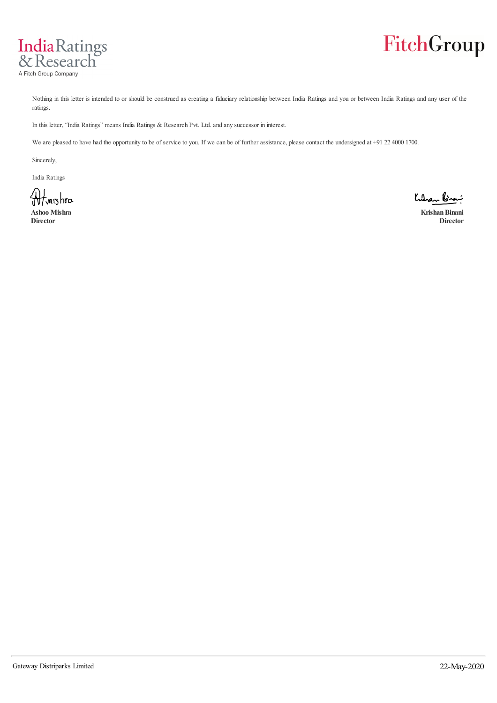



Nothing in this letter is intended to or should be construed as creating a fiduciary relationship between India Ratings and you or between India Ratings and any user of the ratings.

In this letter, "India Ratings" means India Ratings & Research Pvt. Ltd. and any successor in interest.

We are pleased to have had the opportunity to be of service to you. If we can be of further assistance, please contact the undersigned at +91 22 4000 1700.

Sincerely,

India Ratings

Www.shra

Kulan Brai

**Ashoo Mishra Krishan Binani Director Director**